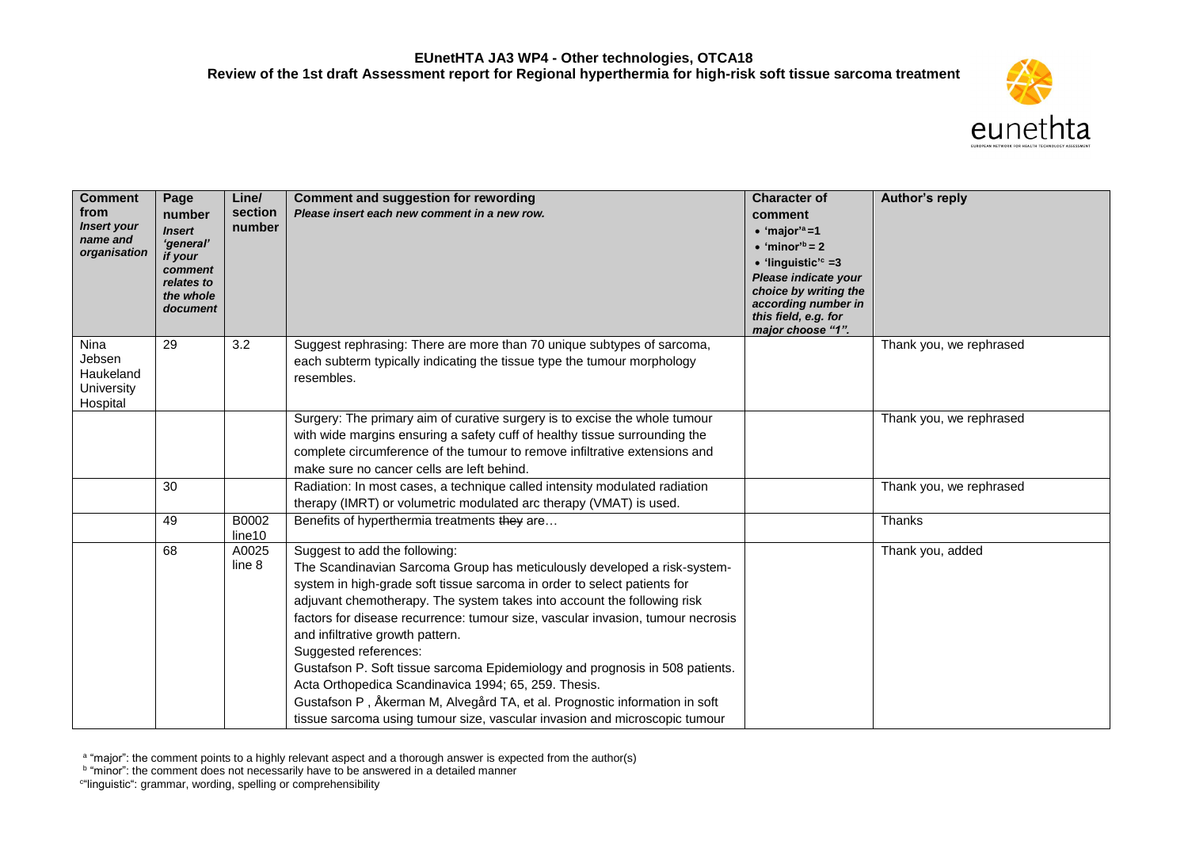

| <b>Comment</b><br>from<br><b>Insert your</b><br>name and<br>organisation | Page<br>number<br><b>Insert</b><br>'general'<br>if your<br>comment<br>relates to<br>the whole<br>document | Line/<br>section<br>number  | <b>Comment and suggestion for rewording</b><br>Please insert each new comment in a new row.                                                                                                                                                                                                                                                                                                                                                                                                                                                                                                                                                                                                                          | <b>Character of</b><br>comment<br>$\bullet$ 'major' <sup>a</sup> =1<br>$\bullet$ 'minor <sup>'b</sup> = 2<br>$\bullet$ 'linguistic' <sup>c</sup> =3<br>Please indicate your<br>choice by writing the<br>according number in<br>this field, e.g. for<br>major choose "1". | <b>Author's reply</b>   |
|--------------------------------------------------------------------------|-----------------------------------------------------------------------------------------------------------|-----------------------------|----------------------------------------------------------------------------------------------------------------------------------------------------------------------------------------------------------------------------------------------------------------------------------------------------------------------------------------------------------------------------------------------------------------------------------------------------------------------------------------------------------------------------------------------------------------------------------------------------------------------------------------------------------------------------------------------------------------------|--------------------------------------------------------------------------------------------------------------------------------------------------------------------------------------------------------------------------------------------------------------------------|-------------------------|
| <b>Nina</b><br>Jebsen<br>Haukeland<br>University<br>Hospital             | 29                                                                                                        | 3.2                         | Suggest rephrasing: There are more than 70 unique subtypes of sarcoma,<br>each subterm typically indicating the tissue type the tumour morphology<br>resembles.                                                                                                                                                                                                                                                                                                                                                                                                                                                                                                                                                      |                                                                                                                                                                                                                                                                          | Thank you, we rephrased |
|                                                                          |                                                                                                           |                             | Surgery: The primary aim of curative surgery is to excise the whole tumour<br>with wide margins ensuring a safety cuff of healthy tissue surrounding the<br>complete circumference of the tumour to remove infiltrative extensions and<br>make sure no cancer cells are left behind.                                                                                                                                                                                                                                                                                                                                                                                                                                 |                                                                                                                                                                                                                                                                          | Thank you, we rephrased |
|                                                                          | 30                                                                                                        |                             | Radiation: In most cases, a technique called intensity modulated radiation<br>therapy (IMRT) or volumetric modulated arc therapy (VMAT) is used.                                                                                                                                                                                                                                                                                                                                                                                                                                                                                                                                                                     |                                                                                                                                                                                                                                                                          | Thank you, we rephrased |
|                                                                          | 49                                                                                                        | B0002<br>line <sub>10</sub> | Benefits of hyperthermia treatments they are                                                                                                                                                                                                                                                                                                                                                                                                                                                                                                                                                                                                                                                                         |                                                                                                                                                                                                                                                                          | Thanks                  |
|                                                                          | 68                                                                                                        | A0025<br>line 8             | Suggest to add the following:<br>The Scandinavian Sarcoma Group has meticulously developed a risk-system-<br>system in high-grade soft tissue sarcoma in order to select patients for<br>adjuvant chemotherapy. The system takes into account the following risk<br>factors for disease recurrence: tumour size, vascular invasion, tumour necrosis<br>and infiltrative growth pattern.<br>Suggested references:<br>Gustafson P. Soft tissue sarcoma Epidemiology and prognosis in 508 patients.<br>Acta Orthopedica Scandinavica 1994; 65, 259. Thesis.<br>Gustafson P, Åkerman M, Alvegård TA, et al. Prognostic information in soft<br>tissue sarcoma using tumour size, vascular invasion and microscopic tumour |                                                                                                                                                                                                                                                                          | Thank you, added        |

<sup>a</sup> "major": the comment points to a highly relevant aspect and a thorough answer is expected from the author(s)<br><sup>b</sup> "minor": the comment does not necessarily have to be answered in a detailed manner

c "linguistic": grammar, wording, spelling or comprehensibility